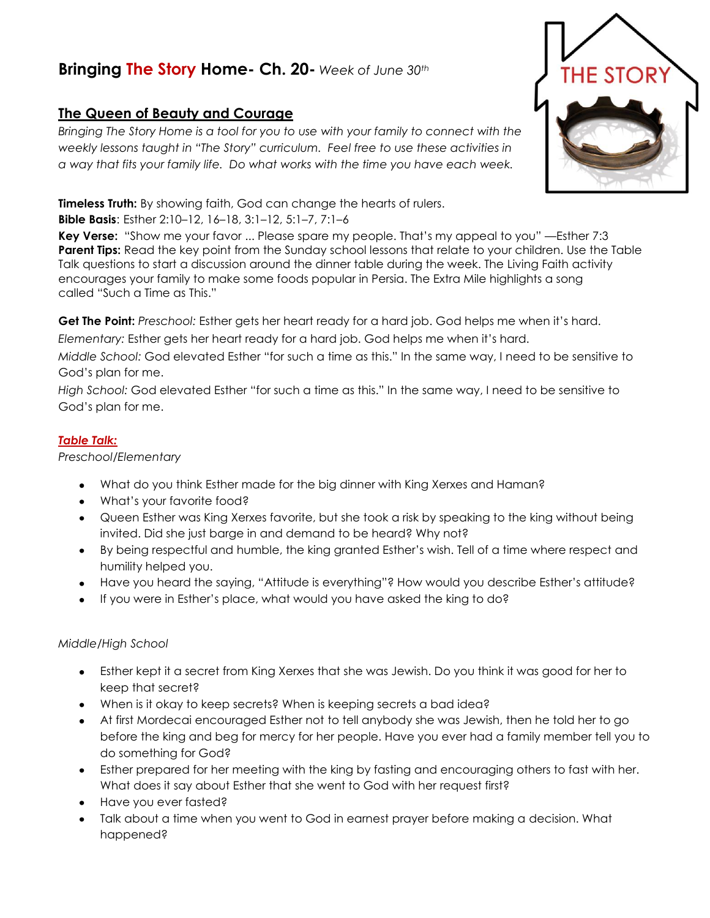## **Bringing The Story Home- Ch. 20-** *Week of June 30th*

## **The Queen of Beauty and Courage**

*Bringing The Story Home is a tool for you to use with your family to connect with the weekly lessons taught in "The Story" curriculum. Feel free to use these activities in a way that fits your family life. Do what works with the time you have each week.* 

**Timeless Truth:** By showing faith, God can change the hearts of rulers.

**Bible Basis**: Esther 2:10–12, 16–18, 3:1–12, 5:1–7, 7:1–6

**Key Verse:** "Show me your favor ... Please spare my people. That's my appeal to you" —Esther 7:3 **Parent Tips:** Read the key point from the Sunday school lessons that relate to your children. Use the Table Talk questions to start a discussion around the dinner table during the week. The Living Faith activity encourages your family to make some foods popular in Persia. The Extra Mile highlights a song called "Such a Time as This."

**Get The Point:** *Preschool:* Esther gets her heart ready for a hard job. God helps me when it's hard.

*Elementary:* Esther gets her heart ready for a hard job. God helps me when it's hard.

*Middle School:* God elevated Esther "for such a time as this." In the same way, I need to be sensitive to God's plan for me.

*High School:* God elevated Esther "for such a time as this." In the same way, I need to be sensitive to God's plan for me.

## *Table Talk:*

*Preschool/Elementary*

- What do you think Esther made for the big dinner with King Xerxes and Haman?
- What's your favorite food?
- Queen Esther was King Xerxes favorite, but she took a risk by speaking to the king without being invited. Did she just barge in and demand to be heard? Why not?
- By being respectful and humble, the king granted Esther's wish. Tell of a time where respect and humility helped you.
- Have you heard the saying, "Attitude is everything"? How would you describe Esther's attitude?
- If you were in Esther's place, what would you have asked the king to do?

## *Middle/High School*

- Esther kept it a secret from King Xerxes that she was Jewish. Do you think it was good for her to  $\bullet$ keep that secret?
- When is it okay to keep secrets? When is keeping secrets a bad idea?
- At first Mordecai encouraged Esther not to tell anybody she was Jewish, then he told her to go before the king and beg for mercy for her people. Have you ever had a family member tell you to do something for God?
- Esther prepared for her meeting with the king by fasting and encouraging others to fast with her. What does it say about Esther that she went to God with her request first?
- Have you ever fasted?
- Talk about a time when you went to God in earnest prayer before making a decision. What happened?